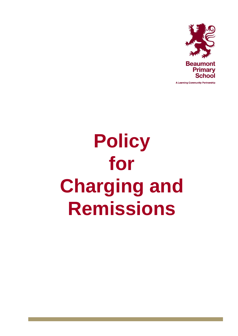

# **Policy for Charging and Remissions**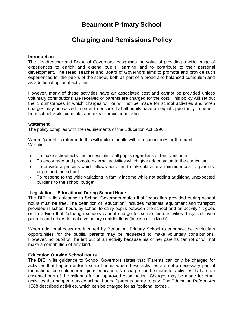# **Beaumont Primary School**

# **Charging and Remissions Policy**

#### **Introduction**

The Headteacher and Board of Governors recognises the value of providing a wide range of experiences to enrich and extend pupils' learning and to contribute to their personal development. The Head Teacher and Board of Governors aims to promote and provide such experiences for the pupils of the school, both as part of a broad and balanced curriculum and as additional optional activities.

However, many of these activities have an associated cost and cannot be provided unless voluntary contributions are received or parents are charged for the cost. This policy will set out the circumstances in which charges will or will not be made for school activities and when charges may be waived in order to ensure that all pupils have an equal opportunity to benefit from school visits, curricular and extra-curricular activities.

# **Statement**

The policy complies with the requirements of the Education Act 1996.

Where 'parent' is referred to this will include adults with a responsibility for the pupil. We aim:-

- To make school activities accessible to all pupils regardless of family income
- To encourage and promote external activities which give added value to the curriculum
- To provide a process which allows activities to take place at a minimum cost to parents, pupils and the school
- To respond to the wide variations in family income while not adding additional unexpected burdens to the school budget.

# **Legislation – Educational During School Hours**

The DfE in its guidance to School Governors states that "education provided during school hours must be free. The definition of "education" includes materials, equipment and transport provided in school hours by school to carry pupils between the school and an activity." It goes on to advise that "although schools cannot charge for school time activities, they still invite parents and others to make voluntary contributions (in cash or in kind)"

When additional costs are incurred by Beaumont Primary School to enhance the curriculum opportunities for the pupils, parents may be requested to make voluntary contributions. However, no pupil will be left out of an activity because his or her parents cannot or will not make a contribution of any kind.

# **Education Outside School Hours**

The DfE in its guidance to School Governors states that "Parents can only be charged for activities that happen outside school hours when these activities are not a necessary part of the national curriculum or religious education. No charge can be made for activities that are an essential part of the syllabus for an approved examination. Charges may be made for other activities that happen outside school hours if parents agree to pay. The Education Reform Act 1988 described activities, which can be charged for as "optional extras".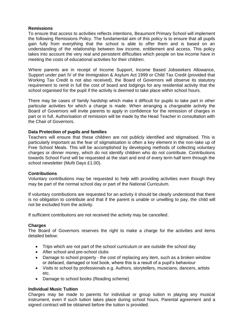# **Remissions**

To ensure that access to activities reflects intentions, Beaumont Primary School will implement the following Remissions Policy. The fundamental aim of this policy is to ensure that all pupils gain fully from everything that the school is able to offer them and is based on an understanding of the relationship between low income, entitlement and access. This policy takes into account the very real and persistent difficulties which people on low income have in meeting the costs of educational activities for their children.

Where parents are in receipt of Income Support, Income Based Jobseekers Allowance, Support under part IV of the Immigration & Asylum Act 1999 or Child Tax Credit (provided that Working Tax Credit is not also received), the Board of Governors will observe its statutory requirement to remit in full the cost of board and lodgings for any residential activity that the school organised for the pupil if the activity is deemed to take place within school hours.

There may be cases of family hardship which make it difficult for pupils to take part in other particular activities for which a charge is made. When arranging a chargeable activity the Board of Governors will invite parents to apply in confidence for the remission of charges in part or in full. Authorisation of remission will be made by the Head Teacher in consultation with the Chair of Governors.

# **Data Protection of pupils and families**

Teachers will ensure that these children are not publicly identified and stigmatised. This is particularly important as the fear of stigmatisation is often a key element in the non-take up of Free School Meals. This will be accomplished by developing methods of collecting voluntary charges or dinner money, which do not identify children who do not contribute. Contributions towards School Fund will be requested at the start and end of every term half term through the school newsletter (Mufti Days £1.00).

#### **Contributions**

Voluntary contributions may be requested to help with providing activities even though they may be part of the normal school day or part of the National Curriculum.

If voluntary contributions are requested for an activity it should be clearly understood that there is no obligation to contribute and that if the parent is unable or unwilling to pay, the child will not be excluded from the activity.

If sufficient contributions are not received the activity may be cancelled.

#### **Charges**

The Board of Governors reserves the right to make a charge for the activities and items detailed below:

- Trips which are not part of the school curriculum or are outside the school day
- After school and pre-school clubs
- Damage to school property the cost of replacing any item, such as a broken window or defaced, damaged or lost book, where this is a result of a pupil's behaviour
- Visits to school by professionals e.g. Authors, storytellers, musicians, dancers, artists etc.
- Damage to school books (Reading scheme)

#### **Individual Music Tuition**

Charges may be made to parents for individual or group tuition in playing any musical instrument, even if such tuition takes place during school hours. Parental agreement and a signed contract will be obtained before the tuition is provided.